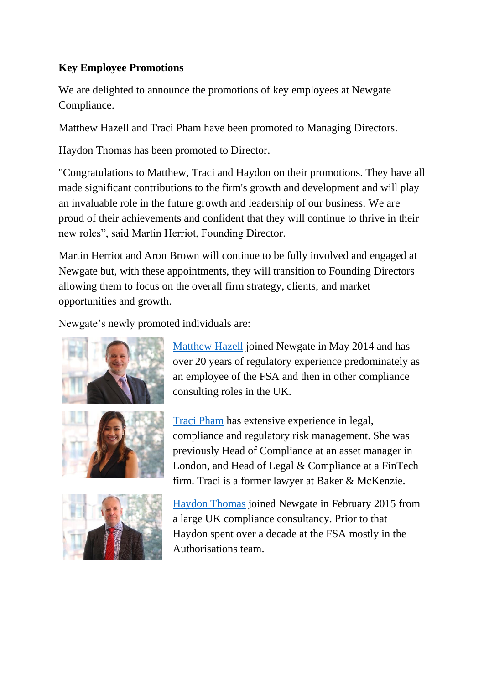## **Key Employee Promotions**

We are delighted to announce the promotions of key employees at Newgate Compliance.

Matthew Hazell and Traci Pham have been promoted to Managing Directors.

Haydon Thomas has been promoted to Director.

"Congratulations to Matthew, Traci and Haydon on their promotions. They have all made significant contributions to the firm's growth and development and will play an invaluable role in the future growth and leadership of our business. We are proud of their achievements and confident that they will continue to thrive in their new roles", said Martin Herriot, Founding Director.

Martin Herriot and Aron Brown will continue to be fully involved and engaged at Newgate but, with these appointments, they will transition to Founding Directors allowing them to focus on the overall firm strategy, clients, and market opportunities and growth.

Newgate's newly promoted individuals are:



[Matthew Hazell](http://newgatecompliance.com/matthew-hazell) joined Newgate in May 2014 and has over 20 years of regulatory experience predominately as an employee of the FSA and then in other compliance consulting roles in the UK.

[Traci Pham](http://newgatecompliance.com/traci-pham) has extensive experience in legal, compliance and regulatory risk management. She was previously Head of Compliance at an asset manager in London, and Head of Legal & Compliance at a FinTech firm. Traci is a former lawyer at Baker & McKenzie.



[Haydon Thomas](http://newgatecompliance.com/haydon-thomas) joined Newgate in February 2015 from a large UK compliance consultancy. Prior to that Haydon spent over a decade at the FSA mostly in the Authorisations team.